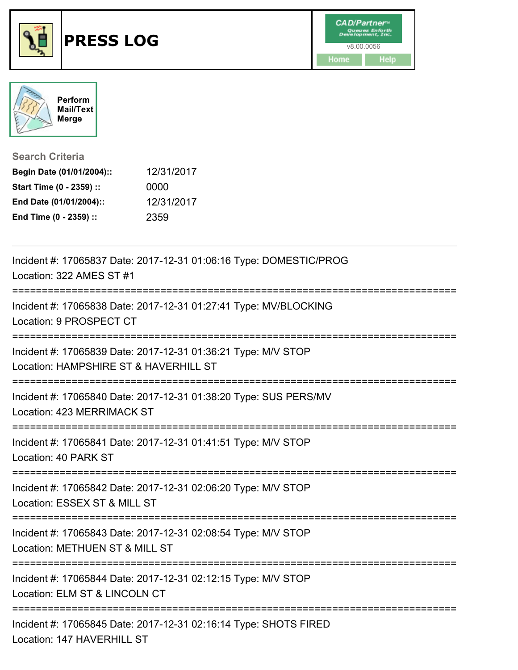



**Search Criteria**

| Begin Date (01/01/2004):: | 12/31/2017 |
|---------------------------|------------|
| Start Time (0 - 2359) ::  | 0000       |
| End Date (01/01/2004)::   | 12/31/2017 |
| End Time (0 - 2359) ::    | 2359       |

| Incident #: 17065837 Date: 2017-12-31 01:06:16 Type: DOMESTIC/PROG<br>Location: 322 AMES ST #1         |
|--------------------------------------------------------------------------------------------------------|
| Incident #: 17065838 Date: 2017-12-31 01:27:41 Type: MV/BLOCKING<br>Location: 9 PROSPECT CT            |
| Incident #: 17065839 Date: 2017-12-31 01:36:21 Type: M/V STOP<br>Location: HAMPSHIRE ST & HAVERHILL ST |
| Incident #: 17065840 Date: 2017-12-31 01:38:20 Type: SUS PERS/MV<br>Location: 423 MERRIMACK ST         |
| Incident #: 17065841 Date: 2017-12-31 01:41:51 Type: M/V STOP<br>Location: 40 PARK ST                  |
| Incident #: 17065842 Date: 2017-12-31 02:06:20 Type: M/V STOP<br>Location: ESSEX ST & MILL ST          |
| Incident #: 17065843 Date: 2017-12-31 02:08:54 Type: M/V STOP<br>Location: METHUEN ST & MILL ST        |
| Incident #: 17065844 Date: 2017-12-31 02:12:15 Type: M/V STOP<br>Location: ELM ST & LINCOLN CT         |
| Incident #: 17065845 Date: 2017-12-31 02:16:14 Type: SHOTS FIRED<br>Location: 147 HAVERHILL ST         |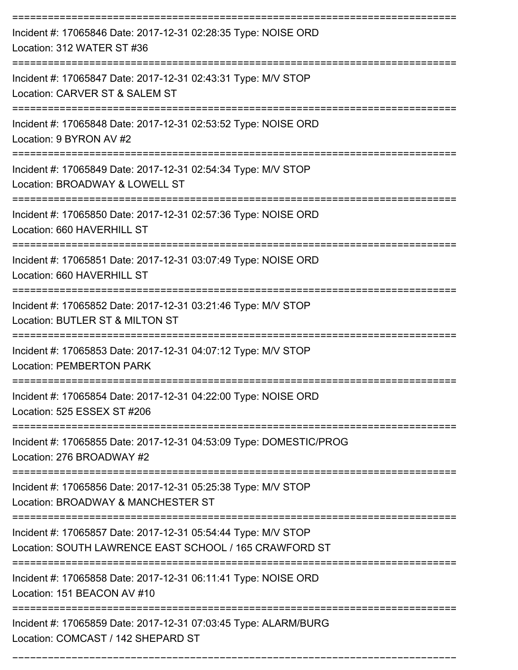| Incident #: 17065846 Date: 2017-12-31 02:28:35 Type: NOISE ORD<br>Location: 312 WATER ST #36                                                     |
|--------------------------------------------------------------------------------------------------------------------------------------------------|
| Incident #: 17065847 Date: 2017-12-31 02:43:31 Type: M/V STOP<br>Location: CARVER ST & SALEM ST                                                  |
| Incident #: 17065848 Date: 2017-12-31 02:53:52 Type: NOISE ORD<br>Location: 9 BYRON AV #2                                                        |
| Incident #: 17065849 Date: 2017-12-31 02:54:34 Type: M/V STOP<br>Location: BROADWAY & LOWELL ST                                                  |
| Incident #: 17065850 Date: 2017-12-31 02:57:36 Type: NOISE ORD<br>Location: 660 HAVERHILL ST                                                     |
| Incident #: 17065851 Date: 2017-12-31 03:07:49 Type: NOISE ORD<br>Location: 660 HAVERHILL ST                                                     |
| Incident #: 17065852 Date: 2017-12-31 03:21:46 Type: M/V STOP<br>Location: BUTLER ST & MILTON ST                                                 |
| Incident #: 17065853 Date: 2017-12-31 04:07:12 Type: M/V STOP<br><b>Location: PEMBERTON PARK</b>                                                 |
| Incident #: 17065854 Date: 2017-12-31 04:22:00 Type: NOISE ORD<br>Location: 525 ESSEX ST #206                                                    |
| ============<br>Incident #: 17065855 Date: 2017-12-31 04:53:09 Type: DOMESTIC/PROG<br>Location: 276 BROADWAY #2                                  |
| Incident #: 17065856 Date: 2017-12-31 05:25:38 Type: M/V STOP<br>Location: BROADWAY & MANCHESTER ST                                              |
| ---------------------<br>Incident #: 17065857 Date: 2017-12-31 05:54:44 Type: M/V STOP<br>Location: SOUTH LAWRENCE EAST SCHOOL / 165 CRAWFORD ST |
| Incident #: 17065858 Date: 2017-12-31 06:11:41 Type: NOISE ORD<br>Location: 151 BEACON AV #10                                                    |
| Incident #: 17065859 Date: 2017-12-31 07:03:45 Type: ALARM/BURG<br>Location: COMCAST / 142 SHEPARD ST                                            |

===========================================================================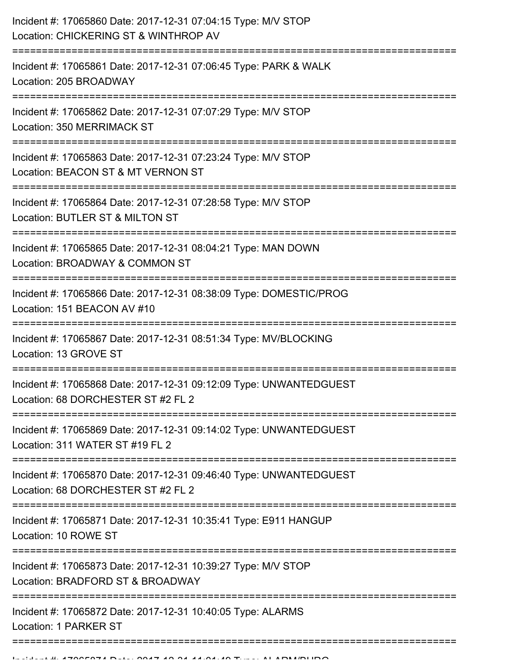| Incident #: 17065860 Date: 2017-12-31 07:04:15 Type: M/V STOP<br>Location: CHICKERING ST & WINTHROP AV<br>;==================================   |
|-------------------------------------------------------------------------------------------------------------------------------------------------|
| Incident #: 17065861 Date: 2017-12-31 07:06:45 Type: PARK & WALK<br>Location: 205 BROADWAY                                                      |
| Incident #: 17065862 Date: 2017-12-31 07:07:29 Type: M/V STOP<br>Location: 350 MERRIMACK ST                                                     |
| Incident #: 17065863 Date: 2017-12-31 07:23:24 Type: M/V STOP<br>Location: BEACON ST & MT VERNON ST                                             |
| Incident #: 17065864 Date: 2017-12-31 07:28:58 Type: M/V STOP<br>Location: BUTLER ST & MILTON ST                                                |
| Incident #: 17065865 Date: 2017-12-31 08:04:21 Type: MAN DOWN<br>Location: BROADWAY & COMMON ST                                                 |
| Incident #: 17065866 Date: 2017-12-31 08:38:09 Type: DOMESTIC/PROG<br>Location: 151 BEACON AV #10                                               |
| Incident #: 17065867 Date: 2017-12-31 08:51:34 Type: MV/BLOCKING<br>Location: 13 GROVE ST                                                       |
| Incident #: 17065868 Date: 2017-12-31 09:12:09 Type: UNWANTEDGUEST<br>Location: 68 DORCHESTER ST #2 FL 2                                        |
| Incident #: 17065869 Date: 2017-12-31 09:14:02 Type: UNWANTEDGUEST<br>Location: 311 WATER ST #19 FL 2                                           |
| ===================================<br>Incident #: 17065870 Date: 2017-12-31 09:46:40 Type: UNWANTEDGUEST<br>Location: 68 DORCHESTER ST #2 FL 2 |
| ======================================<br>Incident #: 17065871 Date: 2017-12-31 10:35:41 Type: E911 HANGUP<br>Location: 10 ROWE ST              |
| Incident #: 17065873 Date: 2017-12-31 10:39:27 Type: M/V STOP<br>Location: BRADFORD ST & BROADWAY                                               |
| Incident #: 17065872 Date: 2017-12-31 10:40:05 Type: ALARMS<br>Location: 1 PARKER ST                                                            |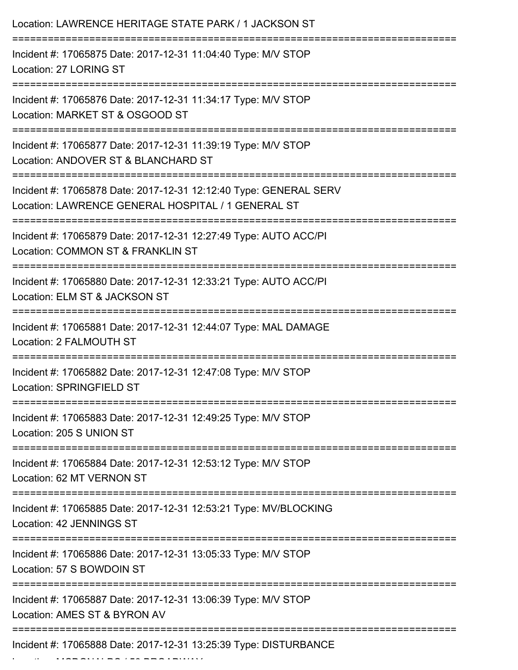| Location: LAWRENCE HERITAGE STATE PARK / 1 JACKSON ST                                                                                   |
|-----------------------------------------------------------------------------------------------------------------------------------------|
| Incident #: 17065875 Date: 2017-12-31 11:04:40 Type: M/V STOP<br>Location: 27 LORING ST                                                 |
| Incident #: 17065876 Date: 2017-12-31 11:34:17 Type: M/V STOP<br>Location: MARKET ST & OSGOOD ST                                        |
| Incident #: 17065877 Date: 2017-12-31 11:39:19 Type: M/V STOP<br>Location: ANDOVER ST & BLANCHARD ST                                    |
| Incident #: 17065878 Date: 2017-12-31 12:12:40 Type: GENERAL SERV<br>Location: LAWRENCE GENERAL HOSPITAL / 1 GENERAL ST                 |
| :=============================<br>Incident #: 17065879 Date: 2017-12-31 12:27:49 Type: AUTO ACC/PI<br>Location: COMMON ST & FRANKLIN ST |
| Incident #: 17065880 Date: 2017-12-31 12:33:21 Type: AUTO ACC/PI<br>Location: ELM ST & JACKSON ST                                       |
| ----------------<br>Incident #: 17065881 Date: 2017-12-31 12:44:07 Type: MAL DAMAGE<br>Location: 2 FALMOUTH ST                          |
| Incident #: 17065882 Date: 2017-12-31 12:47:08 Type: M/V STOP<br>Location: SPRINGFIELD ST                                               |
| Incident #: 17065883 Date: 2017-12-31 12:49:25 Type: M/V STOP<br>Location: 205 S UNION ST                                               |
| Incident #: 17065884 Date: 2017-12-31 12:53:12 Type: M/V STOP<br>Location: 62 MT VERNON ST                                              |
| Incident #: 17065885 Date: 2017-12-31 12:53:21 Type: MV/BLOCKING<br>Location: 42 JENNINGS ST                                            |
| Incident #: 17065886 Date: 2017-12-31 13:05:33 Type: M/V STOP<br>Location: 57 S BOWDOIN ST                                              |
| Incident #: 17065887 Date: 2017-12-31 13:06:39 Type: M/V STOP<br>Location: AMES ST & BYRON AV                                           |
| Incident #: 17065888 Date: 2017-12-31 13:25:39 Type: DISTURBANCE                                                                        |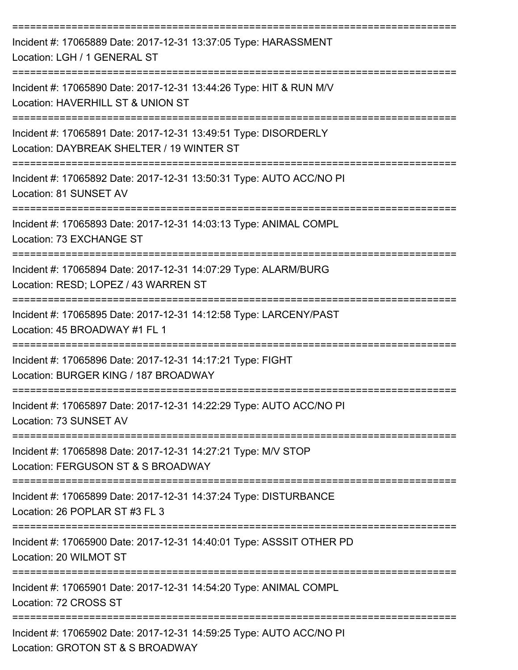| Incident #: 17065889 Date: 2017-12-31 13:37:05 Type: HARASSMENT<br>Location: LGH / 1 GENERAL ST                                              |
|----------------------------------------------------------------------------------------------------------------------------------------------|
| Incident #: 17065890 Date: 2017-12-31 13:44:26 Type: HIT & RUN M/V<br>Location: HAVERHILL ST & UNION ST                                      |
| Incident #: 17065891 Date: 2017-12-31 13:49:51 Type: DISORDERLY<br>Location: DAYBREAK SHELTER / 19 WINTER ST                                 |
| Incident #: 17065892 Date: 2017-12-31 13:50:31 Type: AUTO ACC/NO PI<br>Location: 81 SUNSET AV                                                |
| Incident #: 17065893 Date: 2017-12-31 14:03:13 Type: ANIMAL COMPL<br>Location: 73 EXCHANGE ST                                                |
| Incident #: 17065894 Date: 2017-12-31 14:07:29 Type: ALARM/BURG<br>Location: RESD; LOPEZ / 43 WARREN ST                                      |
| Incident #: 17065895 Date: 2017-12-31 14:12:58 Type: LARCENY/PAST<br>Location: 45 BROADWAY #1 FL 1                                           |
| Incident #: 17065896 Date: 2017-12-31 14:17:21 Type: FIGHT<br>Location: BURGER KING / 187 BROADWAY                                           |
| Incident #: 17065897 Date: 2017-12-31 14:22:29 Type: AUTO ACC/NO PI<br>Location: 73 SUNSET AV                                                |
| -------------------------------------<br>Incident #: 17065898 Date: 2017-12-31 14:27:21 Type: M/V STOP<br>Location: FERGUSON ST & S BROADWAY |
| Incident #: 17065899 Date: 2017-12-31 14:37:24 Type: DISTURBANCE<br>Location: 26 POPLAR ST #3 FL 3                                           |
| Incident #: 17065900 Date: 2017-12-31 14:40:01 Type: ASSSIT OTHER PD<br>Location: 20 WILMOT ST                                               |
| Incident #: 17065901 Date: 2017-12-31 14:54:20 Type: ANIMAL COMPL<br>Location: 72 CROSS ST                                                   |
| Incident #: 17065902 Date: 2017-12-31 14:59:25 Type: AUTO ACC/NO PI<br>Location: GROTON ST & S BROADWAY                                      |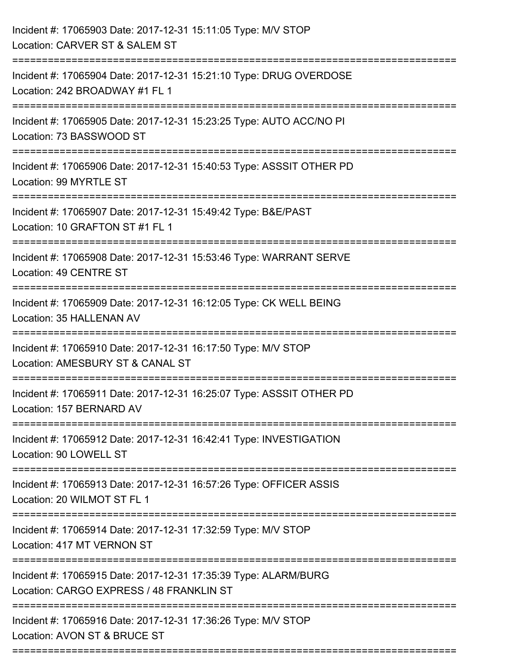| Incident #: 17065903 Date: 2017-12-31 15:11:05 Type: M/V STOP<br>Location: CARVER ST & SALEM ST                                    |
|------------------------------------------------------------------------------------------------------------------------------------|
| Incident #: 17065904 Date: 2017-12-31 15:21:10 Type: DRUG OVERDOSE<br>Location: 242 BROADWAY #1 FL 1                               |
| Incident #: 17065905 Date: 2017-12-31 15:23:25 Type: AUTO ACC/NO PI<br>Location: 73 BASSWOOD ST<br><u> :======================</u> |
| Incident #: 17065906 Date: 2017-12-31 15:40:53 Type: ASSSIT OTHER PD<br>Location: 99 MYRTLE ST                                     |
| Incident #: 17065907 Date: 2017-12-31 15:49:42 Type: B&E/PAST<br>Location: 10 GRAFTON ST #1 FL 1                                   |
| Incident #: 17065908 Date: 2017-12-31 15:53:46 Type: WARRANT SERVE<br>Location: 49 CENTRE ST                                       |
| Incident #: 17065909 Date: 2017-12-31 16:12:05 Type: CK WELL BEING<br>Location: 35 HALLENAN AV                                     |
| Incident #: 17065910 Date: 2017-12-31 16:17:50 Type: M/V STOP<br>Location: AMESBURY ST & CANAL ST                                  |
| Incident #: 17065911 Date: 2017-12-31 16:25:07 Type: ASSSIT OTHER PD<br>Location: 157 BERNARD AV                                   |
| Incident #: 17065912 Date: 2017-12-31 16:42:41 Type: INVESTIGATION<br>Location: 90 LOWELL ST                                       |
| Incident #: 17065913 Date: 2017-12-31 16:57:26 Type: OFFICER ASSIS<br>Location: 20 WILMOT ST FL 1                                  |
| Incident #: 17065914 Date: 2017-12-31 17:32:59 Type: M/V STOP<br>Location: 417 MT VERNON ST                                        |
| Incident #: 17065915 Date: 2017-12-31 17:35:39 Type: ALARM/BURG<br>Location: CARGO EXPRESS / 48 FRANKLIN ST                        |
| Incident #: 17065916 Date: 2017-12-31 17:36:26 Type: M/V STOP<br>Location: AVON ST & BRUCE ST                                      |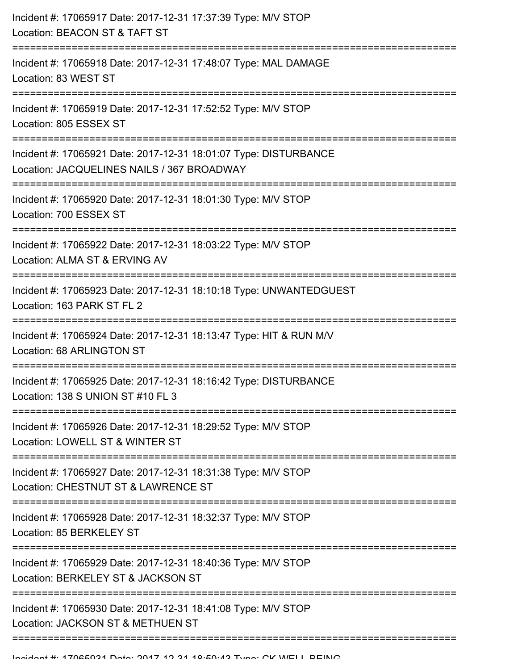| Incident #: 17065917 Date: 2017-12-31 17:37:39 Type: M/V STOP<br>Location: BEACON ST & TAFT ST                 |
|----------------------------------------------------------------------------------------------------------------|
| :================<br>Incident #: 17065918 Date: 2017-12-31 17:48:07 Type: MAL DAMAGE<br>Location: 83 WEST ST   |
| Incident #: 17065919 Date: 2017-12-31 17:52:52 Type: M/V STOP<br>Location: 805 ESSEX ST                        |
| Incident #: 17065921 Date: 2017-12-31 18:01:07 Type: DISTURBANCE<br>Location: JACQUELINES NAILS / 367 BROADWAY |
| Incident #: 17065920 Date: 2017-12-31 18:01:30 Type: M/V STOP<br>Location: 700 ESSEX ST                        |
| Incident #: 17065922 Date: 2017-12-31 18:03:22 Type: M/V STOP<br>Location: ALMA ST & ERVING AV                 |
| Incident #: 17065923 Date: 2017-12-31 18:10:18 Type: UNWANTEDGUEST<br>Location: 163 PARK ST FL 2               |
| Incident #: 17065924 Date: 2017-12-31 18:13:47 Type: HIT & RUN M/V<br>Location: 68 ARLINGTON ST                |
| Incident #: 17065925 Date: 2017-12-31 18:16:42 Type: DISTURBANCE<br>Location: 138 S UNION ST #10 FL 3          |
| Incident #: 17065926 Date: 2017-12-31 18:29:52 Type: M/V STOP<br>Location: LOWELL ST & WINTER ST               |
| Incident #: 17065927 Date: 2017-12-31 18:31:38 Type: M/V STOP<br>Location: CHESTNUT ST & LAWRENCE ST           |
| Incident #: 17065928 Date: 2017-12-31 18:32:37 Type: M/V STOP<br>Location: 85 BERKELEY ST                      |
| Incident #: 17065929 Date: 2017-12-31 18:40:36 Type: M/V STOP<br>Location: BERKELEY ST & JACKSON ST            |
| Incident #: 17065930 Date: 2017-12-31 18:41:08 Type: M/V STOP<br>Location: JACKSON ST & METHUEN ST             |
|                                                                                                                |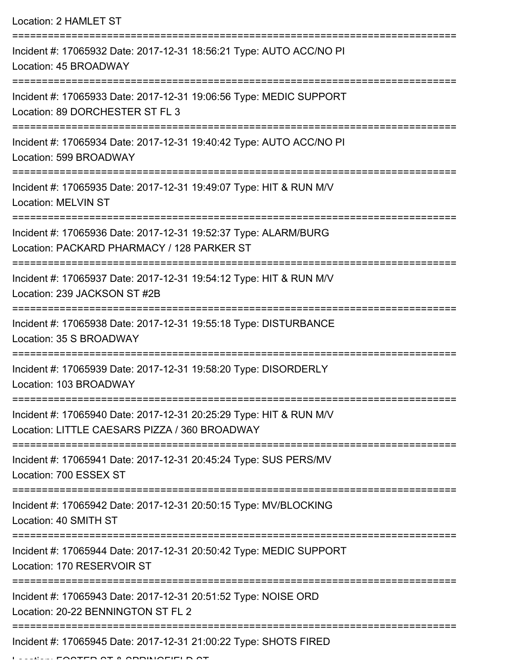Location: 2 HAMLET ST

| Incident #: 17065932 Date: 2017-12-31 18:56:21 Type: AUTO ACC/NO PI<br>Location: 45 BROADWAY                                                                       |
|--------------------------------------------------------------------------------------------------------------------------------------------------------------------|
| Incident #: 17065933 Date: 2017-12-31 19:06:56 Type: MEDIC SUPPORT<br>Location: 89 DORCHESTER ST FL 3                                                              |
| Incident #: 17065934 Date: 2017-12-31 19:40:42 Type: AUTO ACC/NO PI<br>Location: 599 BROADWAY                                                                      |
| Incident #: 17065935 Date: 2017-12-31 19:49:07 Type: HIT & RUN M/V<br><b>Location: MELVIN ST</b>                                                                   |
| Incident #: 17065936 Date: 2017-12-31 19:52:37 Type: ALARM/BURG<br>Location: PACKARD PHARMACY / 128 PARKER ST                                                      |
| Incident #: 17065937 Date: 2017-12-31 19:54:12 Type: HIT & RUN M/V<br>Location: 239 JACKSON ST #2B                                                                 |
| Incident #: 17065938 Date: 2017-12-31 19:55:18 Type: DISTURBANCE<br>Location: 35 S BROADWAY                                                                        |
| Incident #: 17065939 Date: 2017-12-31 19:58:20 Type: DISORDERLY<br>Location: 103 BROADWAY                                                                          |
| Incident #: 17065940 Date: 2017-12-31 20:25:29 Type: HIT & RUN M/V<br>Location: LITTLE CAESARS PIZZA / 360 BROADWAY                                                |
| Incident #: 17065941 Date: 2017-12-31 20:45:24 Type: SUS PERS/MV<br>Location: 700 ESSEX ST                                                                         |
| Incident #: 17065942 Date: 2017-12-31 20:50:15 Type: MV/BLOCKING<br>Location: 40 SMITH ST                                                                          |
| ---------------------------------<br>-------------------------<br>Incident #: 17065944 Date: 2017-12-31 20:50:42 Type: MEDIC SUPPORT<br>Location: 170 RESERVOIR ST |
| Incident #: 17065943 Date: 2017-12-31 20:51:52 Type: NOISE ORD<br>Location: 20-22 BENNINGTON ST FL 2                                                               |
| Incident #: 17065945 Date: 2017-12-31 21:00:22 Type: SHOTS FIRED                                                                                                   |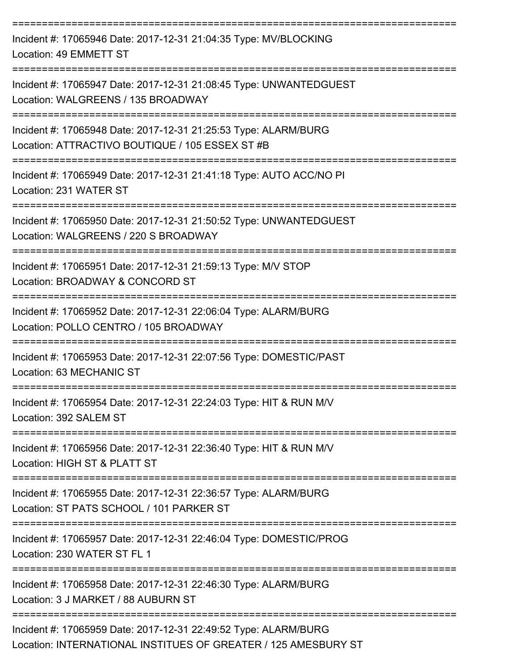| Incident #: 17065946 Date: 2017-12-31 21:04:35 Type: MV/BLOCKING<br>Location: 49 EMMETT ST                                                                                |
|---------------------------------------------------------------------------------------------------------------------------------------------------------------------------|
| Incident #: 17065947 Date: 2017-12-31 21:08:45 Type: UNWANTEDGUEST<br>Location: WALGREENS / 135 BROADWAY                                                                  |
| Incident #: 17065948 Date: 2017-12-31 21:25:53 Type: ALARM/BURG<br>Location: ATTRACTIVO BOUTIQUE / 105 ESSEX ST #B                                                        |
| Incident #: 17065949 Date: 2017-12-31 21:41:18 Type: AUTO ACC/NO PI<br>Location: 231 WATER ST                                                                             |
| Incident #: 17065950 Date: 2017-12-31 21:50:52 Type: UNWANTEDGUEST<br>Location: WALGREENS / 220 S BROADWAY                                                                |
| Incident #: 17065951 Date: 2017-12-31 21:59:13 Type: M/V STOP<br>Location: BROADWAY & CONCORD ST                                                                          |
| Incident #: 17065952 Date: 2017-12-31 22:06:04 Type: ALARM/BURG<br>Location: POLLO CENTRO / 105 BROADWAY                                                                  |
| Incident #: 17065953 Date: 2017-12-31 22:07:56 Type: DOMESTIC/PAST<br>Location: 63 MECHANIC ST                                                                            |
| Incident #: 17065954 Date: 2017-12-31 22:24:03 Type: HIT & RUN M/V<br>Location: 392 SALEM ST                                                                              |
| ======================================<br>-------------------------<br>Incident #: 17065956 Date: 2017-12-31 22:36:40 Type: HIT & RUN M/V<br>Location: HIGH ST & PLATT ST |
| Incident #: 17065955 Date: 2017-12-31 22:36:57 Type: ALARM/BURG<br>Location: ST PATS SCHOOL / 101 PARKER ST                                                               |
| Incident #: 17065957 Date: 2017-12-31 22:46:04 Type: DOMESTIC/PROG<br>Location: 230 WATER ST FL 1                                                                         |
| Incident #: 17065958 Date: 2017-12-31 22:46:30 Type: ALARM/BURG<br>Location: 3 J MARKET / 88 AUBURN ST                                                                    |
| Incident #: 17065959 Date: 2017-12-31 22:49:52 Type: ALARM/BURG<br>Location: INTERNATIONAL INSTITUES OF GREATER / 125 AMESBURY ST                                         |